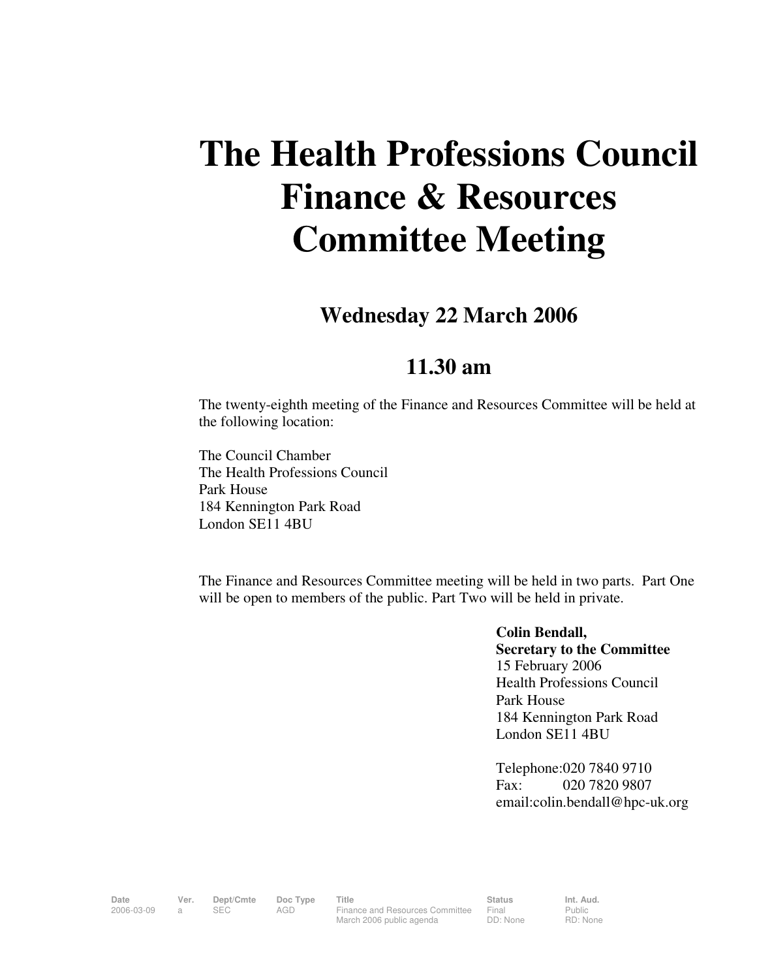# **The Health Professions Council Finance & Resources Committee Meeting**

## **Wednesday 22 March 2006**

### **11.30 am**

The twenty-eighth meeting of the Finance and Resources Committee will be held at the following location:

The Council Chamber The Health Professions Council Park House 184 Kennington Park Road London SE11 4BU

The Finance and Resources Committee meeting will be held in two parts. Part One will be open to members of the public. Part Two will be held in private.

> **Colin Bendall, Secretary to the Committee**  15 February 2006 Health Professions Council Park House 184 Kennington Park Road London SE11 4BU

Telephone:020 7840 9710 Fax: 020 7820 9807 email:colin.bendall@hpc-uk.org

Date Ver. Dept/Cmte Doc<sup>Type</sup> Title **Status** Status Int. Aud. 2006-03-09 a SEC AGD Finance and Resources Committee March 2006 public agenda

Final DD: None Public RD: None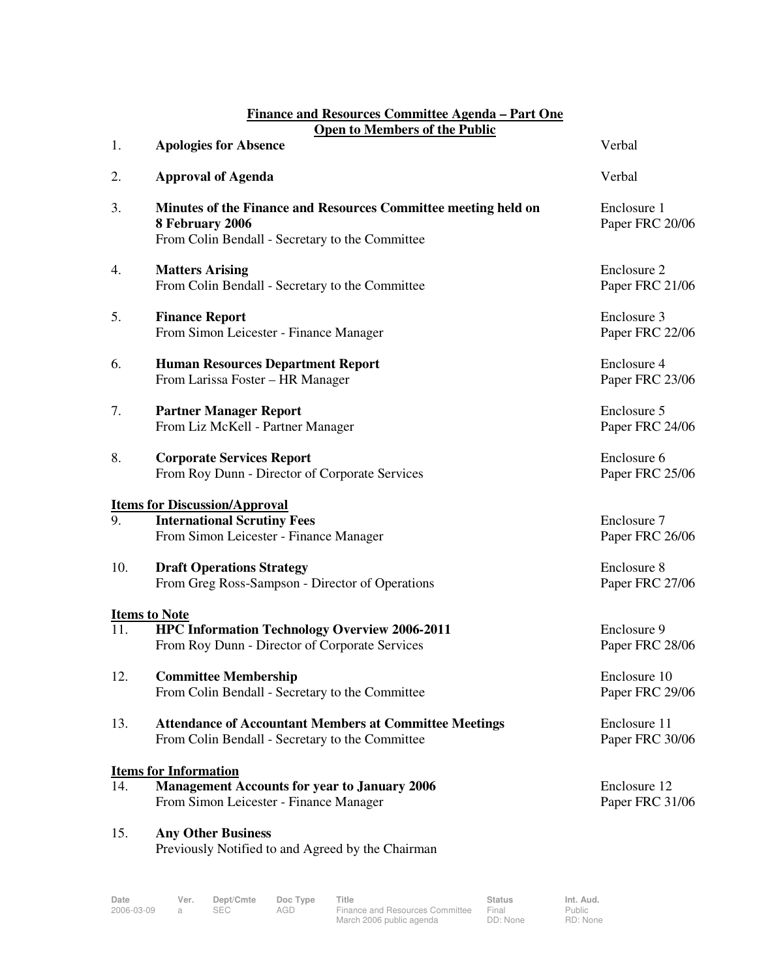#### **Finance and Resources Committee Agenda – Part One Open to Members of the Public**

|     | Open to members of the 1 ubile                                                                                                       |                                          |  |
|-----|--------------------------------------------------------------------------------------------------------------------------------------|------------------------------------------|--|
| 1.  | <b>Apologies for Absence</b>                                                                                                         | Verbal                                   |  |
| 2.  | <b>Approval of Agenda</b>                                                                                                            | Verbal<br>Enclosure 1<br>Paper FRC 20/06 |  |
| 3.  | Minutes of the Finance and Resources Committee meeting held on<br>8 February 2006<br>From Colin Bendall - Secretary to the Committee |                                          |  |
| 4.  | <b>Matters Arising</b><br>From Colin Bendall - Secretary to the Committee                                                            | Enclosure 2<br>Paper FRC 21/06           |  |
| 5.  | <b>Finance Report</b><br>From Simon Leicester - Finance Manager                                                                      | Enclosure 3<br>Paper FRC 22/06           |  |
| 6.  | <b>Human Resources Department Report</b><br>From Larissa Foster - HR Manager                                                         | Enclosure 4<br>Paper FRC 23/06           |  |
| 7.  | <b>Partner Manager Report</b><br>From Liz McKell - Partner Manager                                                                   | Enclosure 5<br>Paper FRC 24/06           |  |
| 8.  | <b>Corporate Services Report</b><br>From Roy Dunn - Director of Corporate Services                                                   | Enclosure 6<br>Paper FRC 25/06           |  |
|     | <b>Items for Discussion/Approval</b>                                                                                                 |                                          |  |
| 9.  | <b>International Scrutiny Fees</b><br>From Simon Leicester - Finance Manager                                                         | Enclosure 7<br>Paper FRC 26/06           |  |
| 10. | <b>Draft Operations Strategy</b><br>From Greg Ross-Sampson - Director of Operations                                                  | Enclosure 8<br>Paper FRC 27/06           |  |
|     | <b>Items to Note</b>                                                                                                                 |                                          |  |
| 11. | <b>HPC Information Technology Overview 2006-2011</b><br>From Roy Dunn - Director of Corporate Services                               | Enclosure 9<br>Paper FRC 28/06           |  |
| 12. | <b>Committee Membership</b><br>From Colin Bendall - Secretary to the Committee                                                       | Enclosure 10<br>Paper FRC 29/06          |  |
| 13. | <b>Attendance of Accountant Members at Committee Meetings</b><br>From Colin Bendall - Secretary to the Committee                     | Enclosure 11<br>Paper FRC 30/06          |  |
|     | <b>Items for Information</b>                                                                                                         |                                          |  |
| 14. | <b>Management Accounts for year to January 2006</b><br>From Simon Leicester - Finance Manager                                        | Enclosure 12<br>Paper FRC 31/06          |  |
| 15. | <b>Any Other Business</b><br>Previously Notified to and Agreed by the Chairman                                                       |                                          |  |

| Date       | Ver. | Dept/Cmte | Doc Type | <b>Title</b>                    | <b>Status</b> | Int. Aud. |
|------------|------|-----------|----------|---------------------------------|---------------|-----------|
| 2006-03-09 |      | SEC       | AGD      | Finance and Resources Committee | Final         | Public    |
|            |      |           |          | March 2006 public agenda        | DD: None      | RD: Non   |

Public RD: None